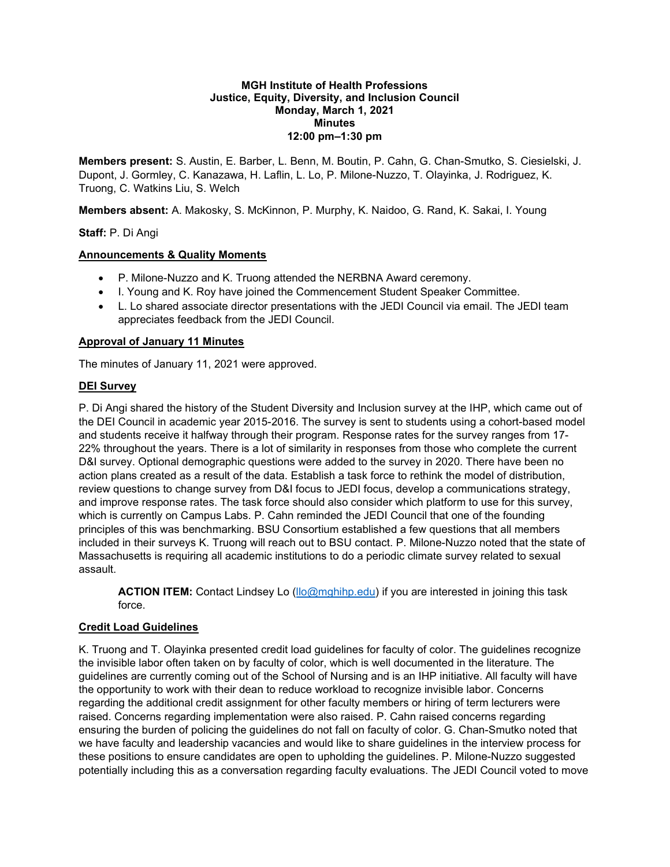#### **MGH Institute of Health Professions Justice, Equity, Diversity, and Inclusion Council Monday, March 1, 2021 Minutes 12:00 pm–1:30 pm**

**Members present:** S. Austin, E. Barber, L. Benn, M. Boutin, P. Cahn, G. Chan-Smutko, S. Ciesielski, J. Dupont, J. Gormley, C. Kanazawa, H. Laflin, L. Lo, P. Milone-Nuzzo, T. Olayinka, J. Rodriguez, K. Truong, C. Watkins Liu, S. Welch

**Members absent:** A. Makosky, S. McKinnon, P. Murphy, K. Naidoo, G. Rand, K. Sakai, I. Young

## **Staff:** P. Di Angi

### **Announcements & Quality Moments**

- P. Milone-Nuzzo and K. Truong attended the NERBNA Award ceremony.
- I. Young and K. Roy have joined the Commencement Student Speaker Committee.
- L. Lo shared associate director presentations with the JEDI Council via email. The JEDI team appreciates feedback from the JEDI Council.

### **Approval of January 11 Minutes**

The minutes of January 11, 2021 were approved.

### **DEI Survey**

P. Di Angi shared the history of the Student Diversity and Inclusion survey at the IHP, which came out of the DEI Council in academic year 2015-2016. The survey is sent to students using a cohort-based model and students receive it halfway through their program. Response rates for the survey ranges from 17- 22% throughout the years. There is a lot of similarity in responses from those who complete the current D&I survey. Optional demographic questions were added to the survey in 2020. There have been no action plans created as a result of the data. Establish a task force to rethink the model of distribution, review questions to change survey from D&I focus to JEDI focus, develop a communications strategy, and improve response rates. The task force should also consider which platform to use for this survey, which is currently on Campus Labs. P. Cahn reminded the JEDI Council that one of the founding principles of this was benchmarking. BSU Consortium established a few questions that all members included in their surveys K. Truong will reach out to BSU contact. P. Milone-Nuzzo noted that the state of Massachusetts is requiring all academic institutions to do a periodic climate survey related to sexual assault.

**ACTION ITEM:** Contact Lindsey Lo [\(llo@mghihp.edu\)](mailto:llo@mghihp.edu) if you are interested in joining this task force.

## **Credit Load Guidelines**

K. Truong and T. Olayinka presented credit load guidelines for faculty of color. The guidelines recognize the invisible labor often taken on by faculty of color, which is well documented in the literature. The guidelines are currently coming out of the School of Nursing and is an IHP initiative. All faculty will have the opportunity to work with their dean to reduce workload to recognize invisible labor. Concerns regarding the additional credit assignment for other faculty members or hiring of term lecturers were raised. Concerns regarding implementation were also raised. P. Cahn raised concerns regarding ensuring the burden of policing the guidelines do not fall on faculty of color. G. Chan-Smutko noted that we have faculty and leadership vacancies and would like to share guidelines in the interview process for these positions to ensure candidates are open to upholding the guidelines. P. Milone-Nuzzo suggested potentially including this as a conversation regarding faculty evaluations. The JEDI Council voted to move